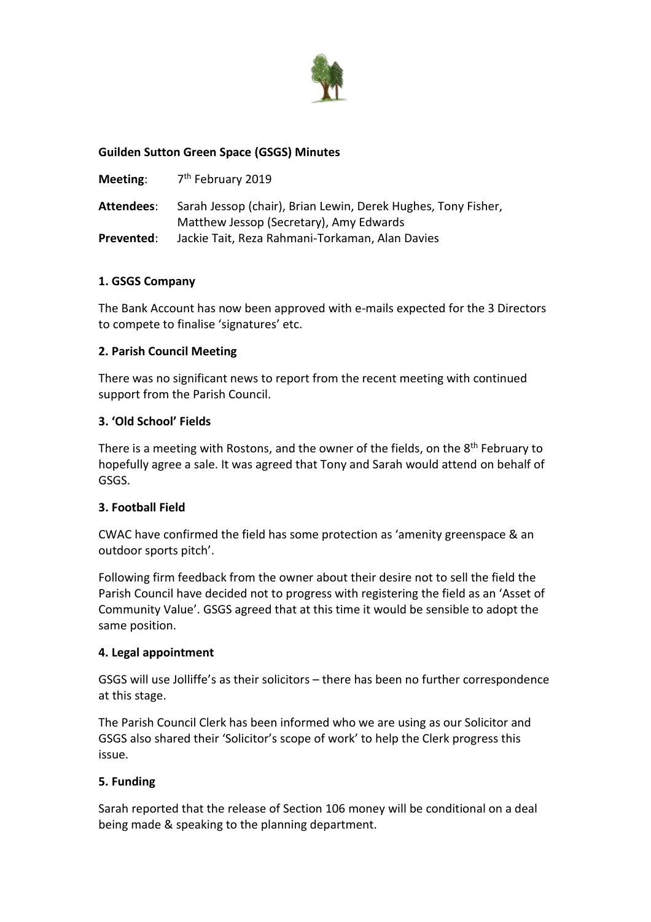

### **Guilden Sutton Green Space (GSGS) Minutes**

| Meeting:   | 7 <sup>th</sup> February 2019                                                                            |
|------------|----------------------------------------------------------------------------------------------------------|
| Attendees: | Sarah Jessop (chair), Brian Lewin, Derek Hughes, Tony Fisher,<br>Matthew Jessop (Secretary), Amy Edwards |
| Prevented: | Jackie Tait, Reza Rahmani-Torkaman, Alan Davies                                                          |

#### **1. GSGS Company**

The Bank Account has now been approved with e-mails expected for the 3 Directors to compete to finalise 'signatures' etc.

#### **2. Parish Council Meeting**

There was no significant news to report from the recent meeting with continued support from the Parish Council.

### **3. 'Old School' Fields**

There is a meeting with Rostons, and the owner of the fields, on the  $8<sup>th</sup>$  February to hopefully agree a sale. It was agreed that Tony and Sarah would attend on behalf of GSGS.

#### **3. Football Field**

CWAC have confirmed the field has some protection as 'amenity greenspace & an outdoor sports pitch'.

Following firm feedback from the owner about their desire not to sell the field the Parish Council have decided not to progress with registering the field as an 'Asset of Community Value'. GSGS agreed that at this time it would be sensible to adopt the same position.

#### **4. Legal appointment**

GSGS will use Jolliffe's as their solicitors – there has been no further correspondence at this stage.

The Parish Council Clerk has been informed who we are using as our Solicitor and GSGS also shared their 'Solicitor's scope of work' to help the Clerk progress this issue.

## **5. Funding**

Sarah reported that the release of Section 106 money will be conditional on a deal being made & speaking to the planning department.